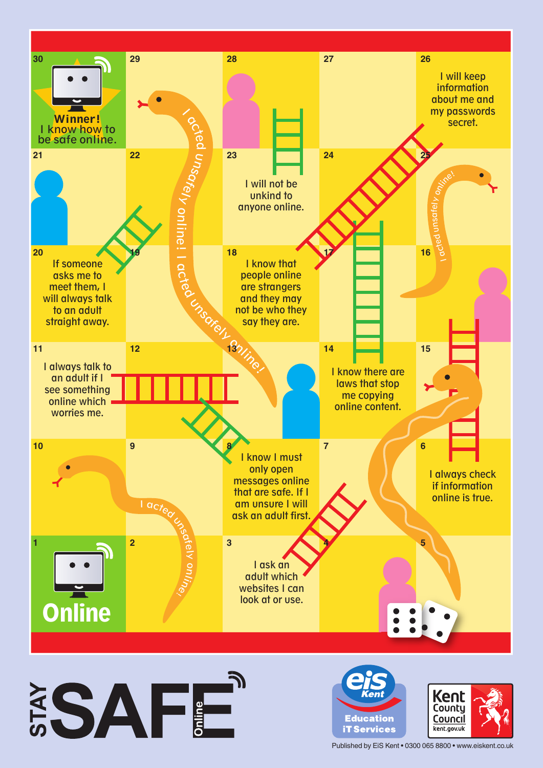





Published by EiS Kent • 0300 065 8800 • www.eiskent.co.uk